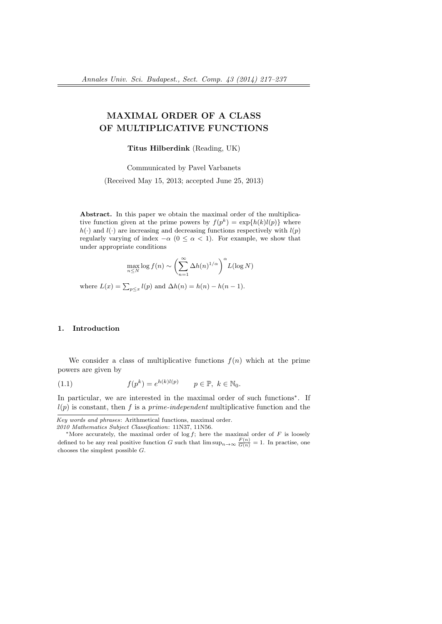# MAXIMAL ORDER OF A CLASS OF MULTIPLICATIVE FUNCTIONS

Titus Hilberdink (Reading, UK)

Communicated by Pavel Varbanets

(Received May 15, 2013; accepted June 25, 2013)

Abstract. In this paper we obtain the maximal order of the multiplicative function given at the prime powers by  $f(p^k) = \exp\{h(k)l(p)\}\$  where  $h(\cdot)$  and  $l(\cdot)$  are increasing and decreasing functions respectively with  $l(p)$ regularly varying of index  $-\alpha$  ( $0 \le \alpha < 1$ ). For example, we show that under appropriate conditions

$$
\max_{n \le N} \log f(n) \sim \left(\sum_{n=1}^{\infty} \Delta h(n)^{1/\alpha}\right)^{\alpha} L(\log N)
$$

where  $L(x) = \sum_{p \leq x} l(p)$  and  $\Delta h(n) = h(n) - h(n-1)$ .

### 1. Introduction

We consider a class of multiplicative functions  $f(n)$  which at the prime powers are given by

(1.1) 
$$
f(p^k) = e^{h(k)l(p)} \qquad p \in \mathbb{P}, \ k \in \mathbb{N}_0.
$$

In particular, we are interested in the maximal order of such functions<sup>\*</sup>. If  $l(p)$  is constant, then f is a prime-independent multiplicative function and the

Key words and phrases: Arithmetical functions, maximal order. 2010 Mathematics Subject Classification: 11N37, 11N56.

<sup>\*</sup>More accurately, the maximal order of log f; here the maximal order of F is loosely defined to be any real positive function G such that  $\limsup_{n\to\infty} \frac{F(n)}{G(n)} = 1$ . In practise, one chooses the simplest possible G.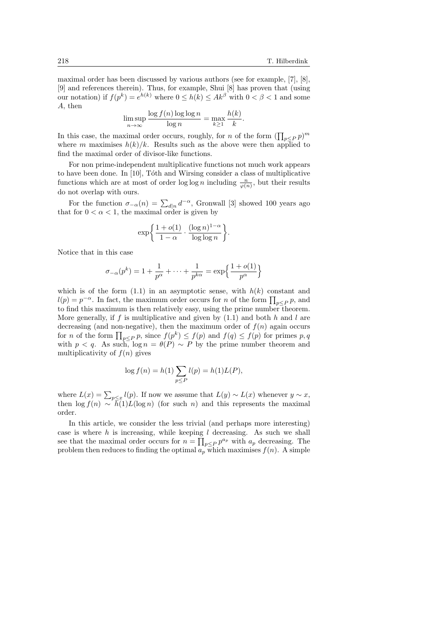maximal order has been discussed by various authors (see for example, [7], [8], [9] and references therein). Thus, for example, Shui [8] has proven that (using our notation) if  $f(p^k) = e^{h(k)}$  where  $0 \le h(k) \le Ak^{\beta}$  with  $0 < \beta < 1$  and some A, then

$$
\limsup_{n \to \infty} \frac{\log f(n) \log \log n}{\log n} = \max_{k \ge 1} \frac{h(k)}{k}.
$$

In this case, the maximal order occurs, roughly, for *n* of the form  $(\prod_{p\leq P} p)^m$ where m maximises  $h(k)/k$ . Results such as the above were then applied to find the maximal order of divisor-like functions.

For non prime-independent multiplicative functions not much work appears to have been done. In  $[10]$ , Tóth and Wirsing consider a class of multiplicative functions which are at most of order  $\log \log n$  including  $\frac{n}{\varphi(n)}$ , but their results do not overlap with ours.

For the function  $\sigma_{-\alpha}(n) = \sum_{d|n} d^{-\alpha}$ , Gronwall [3] showed 100 years ago that for  $0 < \alpha < 1$ , the maximal order is given by

$$
\exp\biggl\{\frac{1+o(1)}{1-\alpha}\cdot\frac{(\log n)^{1-\alpha}}{\log\log n}\biggr\}.
$$

Notice that in this case

$$
\sigma_{-\alpha}(p^k) = 1 + \frac{1}{p^{\alpha}} + \dots + \frac{1}{p^{k\alpha}} = \exp\left\{\frac{1 + o(1)}{p^{\alpha}}\right\}
$$

which is of the form  $(1.1)$  in an asymptotic sense, with  $h(k)$  constant and  $l(p) = p^{-\alpha}$ . In fact, the maximum order occurs for *n* of the form  $\prod_{p \leq P} p$ , and to find this maximum is then relatively easy, using the prime number theorem. More generally, if f is multiplicative and given by  $(1.1)$  and both h and l are decreasing (and non-negative), then the maximum order of  $f(n)$  again occurs for *n* of the form  $\prod_{p\leq P} p$ , since  $f(p^k) \leq f(p)$  and  $f(q) \leq f(p)$  for primes  $p, q$ with  $p < q$ . As such,  $\log n = \theta(P) \sim P$  by the prime number theorem and multiplicativity of  $f(n)$  gives

$$
\log f(n) = h(1) \sum_{p \le P} l(p) = h(1)L(P),
$$

where  $L(x) = \sum_{p \leq x} l(p)$ . If now we assume that  $L(y) \sim L(x)$  whenever  $y \sim x$ , then  $\log f(n) \sim \bar{h}(1)L(\log n)$  (for such n) and this represents the maximal order.

In this article, we consider the less trivial (and perhaps more interesting) case is where  $h$  is increasing, while keeping  $l$  decreasing. As such we shall see that the maximal order occurs for  $n = \prod_{p \leq P} p^{a_p}$  with  $a_p$  decreasing. The problem then reduces to finding the optimal  $a_p$  which maximises  $f(n)$ . A simple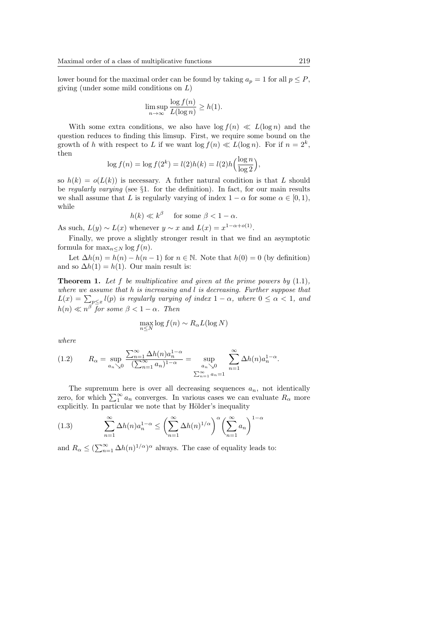lower bound for the maximal order can be found by taking  $a_p = 1$  for all  $p \leq P$ , giving (under some mild conditions on L)

$$
\limsup_{n \to \infty} \frac{\log f(n)}{L(\log n)} \ge h(1).
$$

With some extra conditions, we also have  $\log f(n) \ll L(\log n)$  and the question reduces to finding this limsup. First, we require some bound on the growth of h with respect to L if we want  $\log f(n) \ll L(\log n)$ . For if  $n = 2^k$ , then

$$
\log f(n) = \log f(2^k) = l(2)h(k) = l(2)h\left(\frac{\log n}{\log 2}\right),\,
$$

so  $h(k) = o(L(k))$  is necessary. A futher natural condition is that L should be regularly varying (see §1. for the definition). In fact, for our main results we shall assume that L is regularly varying of index  $1 - \alpha$  for some  $\alpha \in [0, 1)$ , while

$$
h(k) \ll k^{\beta}
$$
 for some  $\beta < 1 - \alpha$ .

As such,  $L(y) \sim L(x)$  whenever  $y \sim x$  and  $L(x) = x^{1-\alpha+o(1)}$ .

Finally, we prove a slightly stronger result in that we find an asymptotic formula for  $\max_{n\leq N} \log f(n)$ .

Let  $\Delta h(n) = h(n) - h(n-1)$  for  $n \in \mathbb{N}$ . Note that  $h(0) = 0$  (by definition) and so  $\Delta h(1) = h(1)$ . Our main result is:

**Theorem 1.** Let f be multiplicative and given at the prime powers by  $(1.1)$ , where we assume that h is increasing and l is decreasing. Further suppose that  $L(x) = \sum_{p \leq x} l(p)$  is regularly varying of index  $1 - \alpha$ , where  $0 \leq \alpha < 1$ , and  $h(n) \ll n^{\beta}$  for some  $\beta < 1 - \alpha$ . Then

$$
\max_{n \le N} \log f(n) \sim R_{\alpha} L(\log N)
$$

where

(1.2) 
$$
R_{\alpha} = \sup_{a_n \searrow 0} \frac{\sum_{n=1}^{\infty} \Delta h(n) a_n^{1-\alpha}}{(\sum_{n=1}^{\infty} a_n)^{1-\alpha}} = \sup_{\substack{a_n \searrow 0 \\ \sum_{n=1}^{\infty} a_n = 1}} \sum_{n=1}^{\infty} \Delta h(n) a_n^{1-\alpha}.
$$

The supremum here is over all decreasing sequences  $a_n$ , not identically zero, for which  $\sum_{1}^{\infty} a_n$  converges. In various cases we can evaluate  $R_{\alpha}$  more explicitly. In particular we note that by Hölder's inequality

(1.3) 
$$
\sum_{n=1}^{\infty} \Delta h(n) a_n^{1-\alpha} \leq \left(\sum_{n=1}^{\infty} \Delta h(n)^{1/\alpha}\right)^{\alpha} \left(\sum_{n=1}^{\infty} a_n\right)^{1-\alpha}
$$

and  $R_{\alpha} \leq (\sum_{n=1}^{\infty} \Delta h(n)^{1/\alpha})^{\alpha}$  always. The case of equality leads to: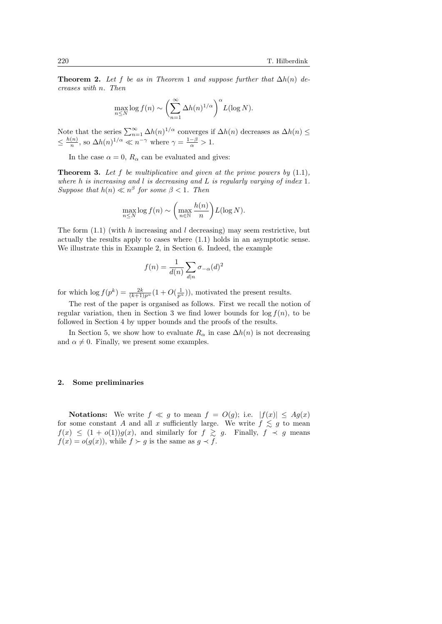**Theorem 2.** Let f be as in Theorem 1 and suppose further that  $\Delta h(n)$  decreases with n. Then

$$
\max_{n\leq N}\log f(n) \sim \left(\sum_{n=1}^{\infty}\Delta h(n)^{1/\alpha}\right)^{\alpha}L(\log N).
$$

Note that the series  $\sum_{n=1}^{\infty} \Delta h(n)^{1/\alpha}$  converges if  $\Delta h(n)$  decreases as  $\Delta h(n) \leq$  $\leq \frac{h(n)}{n}$  $\frac{(n)}{n}$ , so  $\Delta h(n)^{1/\alpha} \ll n^{-\gamma}$  where  $\gamma = \frac{1-\beta}{\alpha} > 1$ .

In the case  $\alpha = 0$ ,  $R_{\alpha}$  can be evaluated and gives:

**Theorem 3.** Let f be multiplicative and given at the prime powers by  $(1.1)$ , where h is increasing and l is decreasing and L is regularly varying of index 1. Suppose that  $h(n) \ll n^{\beta}$  for some  $\beta < 1$ . Then

$$
\max_{n \le N} \log f(n) \sim \left(\max_{n \in \mathbb{N}} \frac{h(n)}{n}\right) L(\log N).
$$

The form  $(1.1)$  (with h increasing and l decreasing) may seem restrictive, but actually the results apply to cases where (1.1) holds in an asymptotic sense. We illustrate this in Example 2, in Section 6. Indeed, the example

$$
f(n) = \frac{1}{d(n)} \sum_{d|n} \sigma_{-\alpha}(d)^2
$$

for which  $\log f(p^k) = \frac{2k}{(k+1)p^{\alpha}}(1+O(\frac{1}{p^{\alpha}}))$ , motivated the present results.

The rest of the paper is organised as follows. First we recall the notion of regular variation, then in Section 3 we find lower bounds for  $\log f(n)$ , to be followed in Section 4 by upper bounds and the proofs of the results.

In Section 5, we show how to evaluate  $R_{\alpha}$  in case  $\Delta h(n)$  is not decreasing and  $\alpha \neq 0$ . Finally, we present some examples.

#### 2. Some preliminaries

**Notations:** We write  $f \ll g$  to mean  $f = O(g)$ ; i.e.  $|f(x)| \leq Ag(x)$ for some constant A and all x sufficiently large. We write  $f \lesssim g$  to mean  $f(x) \leq (1 + o(1))g(x)$ , and similarly for  $f \geq g$ . Finally,  $f \prec g$  means  $f(x) = o(g(x))$ , while  $f \succ g$  is the same as  $g \prec f$ .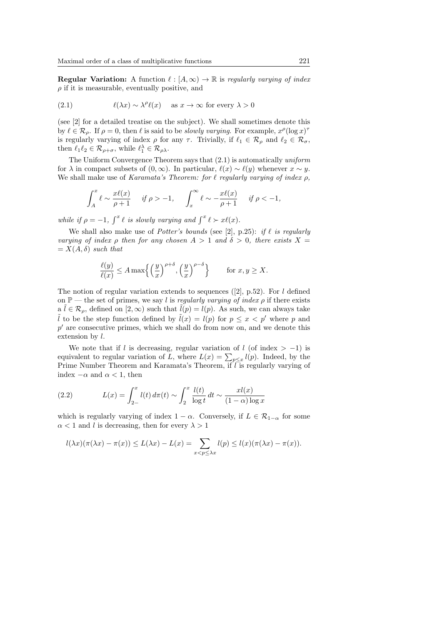**Regular Variation:** A function  $\ell : [A, \infty) \to \mathbb{R}$  is regularly varying of index  $\rho$  if it is measurable, eventually positive, and

(2.1) 
$$
\ell(\lambda x) \sim \lambda^{\rho} \ell(x) \quad \text{as } x \to \infty \text{ for every } \lambda > 0
$$

(see [2] for a detailed treatise on the subject). We shall sometimes denote this by  $\ell \in \mathcal{R}_\rho$ . If  $\rho = 0$ , then  $\ell$  is said to be slowly varying. For example,  $x^{\rho}(\log x)^{\tau}$ is regularly varying of index  $\rho$  for any  $\tau$ . Trivially, if  $\ell_1 \in \mathcal{R}_{\rho}$  and  $\ell_2 \in \mathcal{R}_{\sigma}$ , then  $\ell_1 \ell_2 \in \mathcal{R}_{\rho+\sigma}$ , while  $\ell_1^{\lambda} \in \mathcal{R}_{\rho\lambda}$ .

The Uniform Convergence Theorem says that (2.1) is automatically uniform for  $\lambda$  in compact subsets of  $(0, \infty)$ . In particular,  $\ell(x) \sim \ell(y)$  whenever  $x \sim y$ . We shall make use of Karamata's Theorem: for  $\ell$  regularly varying of index  $\rho$ ,

$$
\int_A^x \ell \sim \frac{x\ell(x)}{\rho+1} \quad \text{ if } \rho > -1, \quad \int_x^\infty \ell \sim -\frac{x\ell(x)}{\rho+1} \quad \text{ if } \rho < -1,
$$

while if  $\rho = -1$ ,  $\int^x \ell$  is slowly varying and  $\int^x \ell \succ x\ell(x)$ .

We shall also make use of *Potter's bounds* (see [2], p.25): if  $\ell$  is regularly varying of index  $\rho$  then for any chosen  $A > 1$  and  $\delta > 0$ , there exists  $X =$  $= X(A, \delta)$  such that

$$
\frac{\ell(y)}{\ell(x)} \le A \max\left\{ \left(\frac{y}{x}\right)^{\rho+\delta}, \left(\frac{y}{x}\right)^{\rho-\delta} \right\} \quad \text{for } x, y \ge X.
$$

The notion of regular variation extends to sequences  $(2, p.52)$ . For l defined on  $\mathbb{P}$  — the set of primes, we say l is regularly varying of index  $\rho$  if there exists  $a \tilde{l} \in \mathcal{R}_{\rho}$ , defined on  $[2, \infty)$  such that  $\tilde{l}(p) = l(p)$ . As such, we can always take  $\tilde{l}$  to be the step function defined by  $\tilde{l}(x) = l(p)$  for  $p \leq x < p'$  where p and  $p'$  are consecutive primes, which we shall do from now on, and we denote this extension by  $l$ .

We note that if l is decreasing, regular variation of l (of index  $> -1$ ) is equivalent to regular variation of L, where  $L(x) = \sum_{p \leq x} l(p)$ . Indeed, by the Prime Number Theorem and Karamata's Theorem, if  $\overline{l}$  is regularly varying of index  $-\alpha$  and  $\alpha < 1$ , then

(2.2) 
$$
L(x) = \int_{2-}^{x} l(t) d\pi(t) \sim \int_{2}^{x} \frac{l(t)}{\log t} dt \sim \frac{x l(x)}{(1-\alpha)\log x}
$$

which is regularly varying of index  $1 - \alpha$ . Conversely, if  $L \in \mathcal{R}_{1-\alpha}$  for some  $\alpha$  < 1 and l is decreasing, then for every  $\lambda > 1$ 

$$
l(\lambda x)(\pi(\lambda x) - \pi(x)) \le L(\lambda x) - L(x) = \sum_{x < p \le \lambda x} l(p) \le l(x)(\pi(\lambda x) - \pi(x)).
$$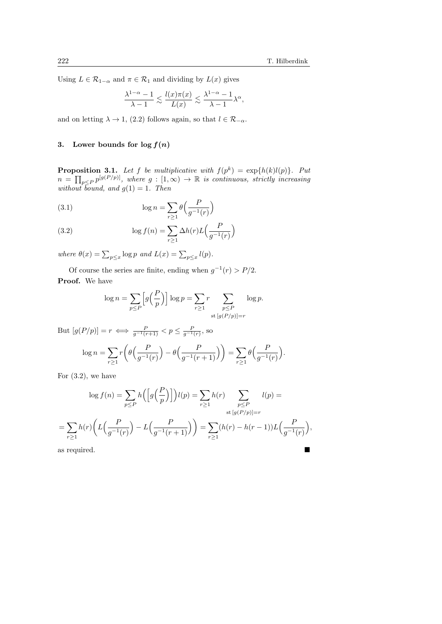,

 $\theta\Big(\frac{F}{-1}\Big)$  $g^{-1}(r)$ 

.

Using  $L \in \mathcal{R}_{1-\alpha}$  and  $\pi \in \mathcal{R}_1$  and dividing by  $L(x)$  gives

$$
\frac{\lambda^{1-\alpha}-1}{\lambda-1}\lesssim \frac{l(x)\pi(x)}{L(x)}\lesssim \frac{\lambda^{1-\alpha}-1}{\lambda-1}\lambda^\alpha
$$

and on letting  $\lambda \to 1$ , (2.2) follows again, so that  $l \in \mathcal{R}_{-\alpha}$ .

# 3. Lower bounds for  $\log f(n)$

**Proposition 3.1.** Let f be multiplicative with  $f(p^k) = \exp\{h(k)l(p)\}\$ . Put  $n = \prod_{p \leq P} p^{[g(P/p)]}$ , where  $g : [1, \infty) \to \mathbb{R}$  is continuous, strictly increasing without bound, and  $g(1) = 1$ . Then

(3.1) 
$$
\log n = \sum_{r \ge 1} \theta \left( \frac{P}{g^{-1}(r)} \right)
$$

(3.2) 
$$
\log f(n) = \sum_{r \ge 1} \Delta h(r) L\left(\frac{P}{g^{-1}(r)}\right)
$$

where  $\theta(x) = \sum_{p \leq x} \log p$  and  $L(x) = \sum_{p \leq x} l(p)$ .

Of course the series are finite, ending when  $g^{-1}(r) > P/2$ . Proof. We have

$$
\log n = \sum_{p \le P} \left[ g\left(\frac{P}{p}\right) \right] \log p = \sum_{r \ge 1} r \sum_{\substack{p \le P \\ \text{st } [g(P/p)] = r}} \log p.
$$

But  $[g(P/p)] = r \iff \frac{P}{g^{-1}(r+1)} < p \le \frac{P}{g^{-1}(r)},$  so  $\log n = \sum$  $r \geq 1$  $r\Big(\theta\Big(\frac{F}{\sqrt{1-\theta}}\Big)$  $g^{-1}(r)$  $-\theta\Big(-\frac{F}{\sqrt{2\pi}}\Big)$  $g^{-1}(r+1)$  $)\big) = \sum$  $r \geq 1$ 

For  $(3.2)$ , we have

$$
\log f(n) = \sum_{p \le P} h\left(\left[g\left(\frac{P}{p}\right)\right]\right)l(p) = \sum_{r \ge 1} h(r) \sum_{\substack{p \le P \\ \text{st } [g(P/p)] = r}} l(p) =
$$
\n
$$
= \sum_{r \ge 1} h(r) \left(L\left(\frac{P}{g^{-1}(r)}\right) - L\left(\frac{P}{g^{-1}(r+1)}\right)\right) = \sum_{r \ge 1} (h(r) - h(r-1))L\left(\frac{P}{g^{-1}(r)}\right),
$$
\nas required

as required.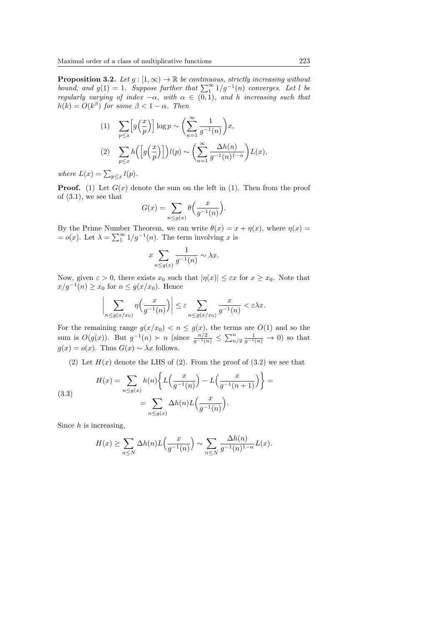**Proposition 3.2.** Let  $g : [1, \infty) \to \mathbb{R}$  be continuous, strictly increasing without bound, and  $g(1) = 1$ . Suppose further that  $\sum_{1}^{\infty} 1/g^{-1}(n)$  converges. Let l be regularly varying of index  $-\alpha$ , with  $\alpha \in (0,1)$ , and h increasing such that  $h(k) = O(k^{\beta})$  for some  $\beta < 1 - \alpha$ . Then

(1) 
$$
\sum_{p \le x} \left[ g\left(\frac{x}{p}\right) \right] \log p \sim \left( \sum_{n=1}^{\infty} \frac{1}{g^{-1}(n)} \right) x,
$$
  
(2) 
$$
\sum_{p \le x} h\left( \left[ g\left(\frac{x}{p}\right) \right] \right) l(p) \sim \left( \sum_{n=1}^{\infty} \frac{\Delta h(n)}{g^{-1}(n)^{1-\alpha}} \right) L(x),
$$

where  $L(x) = \sum_{p \leq x} l(p)$ .

**Proof.** (1) Let  $G(x)$  denote the sum on the left in (1). Then from the proof of (3.1), we see that

$$
G(x) = \sum_{n \le g(x)} \theta\left(\frac{x}{g^{-1}(n)}\right).
$$

By the Prime Number Theorem, we can write  $\theta(x) = x + \eta(x)$ , where  $\eta(x) =$  $= o(x)$ . Let  $\lambda = \sum_{1}^{\infty} 1/g^{-1}(n)$ . The term involving x is

$$
x \sum_{n \le g(x)} \frac{1}{g^{-1}(n)} \sim \lambda x.
$$

Now, given  $\varepsilon > 0$ , there exists  $x_0$  such that  $|\eta(x)| \leq \varepsilon x$  for  $x \geq x_0$ . Note that  $x/g^{-1}(n) \ge x_0$  for  $n \le g(x/x_0)$ . Hence

$$
\bigg|\sum_{n\le g(x/x_0)}\eta\Big(\frac{x}{g^{-1}(n)}\Big)\bigg|\le \varepsilon\sum_{n\le g(x/x_0)}\frac{x}{g^{-1}(n)}<\varepsilon\lambda x.
$$

For the remaining range  $g(x/x_0) < n \le g(x)$ , the terms are  $O(1)$  and so the sum is  $O(g(x))$ . But  $g^{-1}(n) > n$  (since  $\frac{n/2}{g^{-1}(n)} \le \sum_{n/2}^n \frac{1}{g^{-1}(n)} \to 0$ ) so that  $g(x) = o(x)$ . Thus  $G(x) \sim \lambda x$  follows.

(2) Let  $H(x)$  denote the LHS of (2). From the proof of (3.2) we see that

(3.3) 
$$
H(x) = \sum_{n \le g(x)} h(n) \left\{ L\left(\frac{x}{g^{-1}(n)}\right) - L\left(\frac{x}{g^{-1}(n+1)}\right) \right\} = \sum_{n \le g(x)} \Delta h(n) L\left(\frac{x}{g^{-1}(n)}\right).
$$

Since  $h$  is increasing,

$$
H(x) \ge \sum_{n \le N} \Delta h(n) L\left(\frac{x}{g^{-1}(n)}\right) \sim \sum_{n \le N} \frac{\Delta h(n)}{g^{-1}(n)^{1-\alpha}} L(x).
$$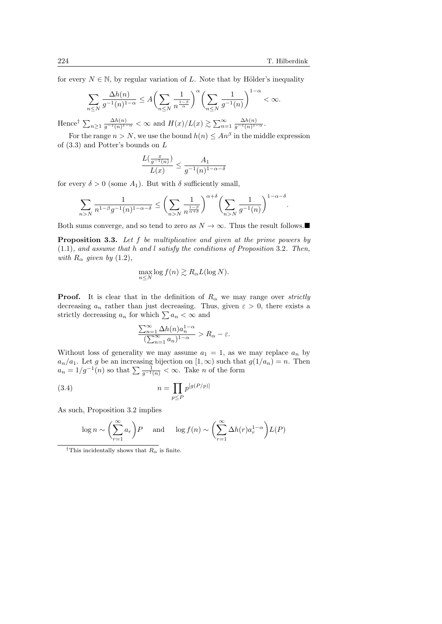.

for every  $N \in \mathbb{N}$ , by regular variation of L. Note that by Hölder's inequality

$$
\sum_{n\leq N}\frac{\Delta h(n)}{g^{-1}(n)^{1-\alpha}}\leq A\biggl(\sum_{n\leq N}\frac{1}{n^{\frac{1-\beta}{\alpha}}}\biggr)^{\alpha}\biggl(\sum_{n\leq N}\frac{1}{g^{-1}(n)}\biggr)^{1-\alpha}<\infty.
$$

Hence<sup>†</sup>  $\sum_{n\geq 1} \frac{\Delta h(n)}{g^{-1}(n)^{1-\alpha}} < \infty$  and  $H(x)/L(x) \gtrsim \sum_{n=1}^{\infty} \frac{\Delta h(n)}{g^{-1}(n)^{1-\alpha}}$ .

For the range  $n > N$ , we use the bound  $h(n) \leq An^{\beta}$  in the middle expression of (3.3) and Potter's bounds on L

$$
\frac{L(\frac{x}{g^{-1}(n)})}{L(x)}\leq \frac{A_1}{g^{-1}(n)^{1-\alpha-\delta}}
$$

for every  $\delta > 0$  (some  $A_1$ ). But with  $\delta$  sufficiently small,

$$
\sum_{n>N} \frac{1}{n^{1-\beta}g^{-1}(n)^{1-\alpha-\delta}} \le \left(\sum_{n>N} \frac{1}{n^{\frac{1-\beta}{\alpha+\delta}}}\right)^{\alpha+\delta} \left(\sum_{n>N} \frac{1}{g^{-1}(n)}\right)^{1-\alpha-\delta}
$$

Both sums converge, and so tend to zero as  $N \to \infty$ . Thus the result follows.

Proposition 3.3. Let f be multiplicative and given at the prime powers by (1.1), and assume that h and l satisfy the conditions of Proposition 3.2. Then, with  $R_{\alpha}$  given by (1.2),

$$
\max_{n\leq N}\log f(n)\gtrsim R_{\alpha}L(\log N).
$$

**Proof.** It is clear that in the definition of  $R_{\alpha}$  we may range over *strictly* decreasing  $a_n$  rather than just decreasing. Thus, given  $\varepsilon > 0$ , there exists a strictly decreasing  $a_n$  for which  $\sum a_n < \infty$  and

$$
\frac{\sum_{n=1}^{\infty} \Delta h(n) a_n^{1-\alpha}}{(\sum_{n=1}^{\infty} a_n)^{1-\alpha}} > R_{\alpha} - \varepsilon.
$$

Without loss of generality we may assume  $a_1 = 1$ , as we may replace  $a_n$  by  $a_n/a_1$ . Let g be an increasing bijection on  $[1,\infty)$  such that  $g(1/a_n) = n$ . Then  $a_n = 1/g^{-1}(n)$  so that  $\sum \frac{1}{g^{-1}(n)} < \infty$ . Take n of the form

$$
(3.4) \qquad \qquad n = \prod_{p \le P} p^{\left[g(P/p)\right]}
$$

As such, Proposition 3.2 implies

$$
\log n \sim \left(\sum_{r=1}^{\infty} a_r\right) P \quad \text{and} \quad \log f(n) \sim \left(\sum_{r=1}^{\infty} \Delta h(r) a_r^{1-\alpha}\right) L(P)
$$

<sup>†</sup>This incidentally shows that  $R_{\alpha}$  is finite.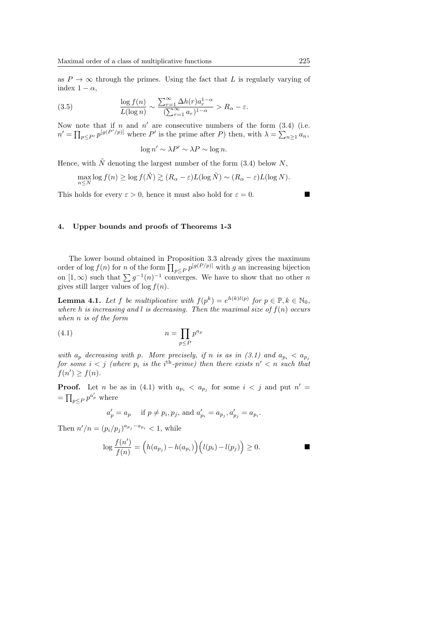as  $P \to \infty$  through the primes. Using the fact that L is regularly varying of index  $1 - \alpha$ ,

(3.5) 
$$
\frac{\log f(n)}{L(\log n)} \sim \frac{\sum_{r=1}^{\infty} \Delta h(r) a_r^{1-\alpha}}{(\sum_{r=1}^{\infty} a_r)^{1-\alpha}} > R_{\alpha} - \varepsilon.
$$

Now note that if n and  $n'$  are consecutive numbers of the form  $(3.4)$  (i.e.  $n' = \prod_{p \leq P'} p^{[g(P'/p)]}$  where P' is the prime after P) then, with  $\lambda = \sum_{n \geq 1} a_n$ ,

$$
\log n' \sim \lambda P' \sim \lambda P \sim \log n.
$$

Hence, with  $\tilde{N}$  denoting the largest number of the form (3.4) below N,

$$
\max_{n\leq N}\log f(n) \geq \log f(\tilde{N}) \gtrsim (R_{\alpha}-\varepsilon)L(\log \tilde{N}) \sim (R_{\alpha}-\varepsilon)L(\log N).
$$

This holds for every  $\varepsilon > 0$ , hence it must also hold for  $\varepsilon = 0$ .

#### 4. Upper bounds and proofs of Theorems 1-3

The lower bound obtained in Proposition 3.3 already gives the maximum order of log  $f(n)$  for n of the form  $\prod_{p\leq P} p^{[g(P/p)]}$  with g an increasing bijection on  $[1,\infty)$  such that  $\sum g^{-1}(n)^{-1}$  converges. We have to show that no other n gives still larger values of  $log f(n)$ .

**Lemma 4.1.** Let f be multiplicative with  $f(p^k) = e^{h(k)l(p)}$  for  $p \in \mathbb{P}, k \in \mathbb{N}_0$ , where h is increasing and l is decreasing. Then the maximal size of  $f(n)$  occurs when n is of the form

$$
(4.1)\qquad \qquad n = \prod_{p \le P} p^{a_p}
$$

with  $a_p$  decreasing with p. More precisely, if n is as in (3.1) and  $a_{p_i} < a_{p_j}$ for some  $i < j$  (where  $p_i$  is the i<sup>th</sup>-prime) then there exists  $n' < n$  such that  $f(n') \geq f(n)$ .

**Proof.** Let *n* be as in (4.1) with  $a_{p_i} < a_{p_j}$  for some  $i < j$  and put  $n' =$  $=\prod_{p\leq P}p^{a'_p}$  where

$$
a'_p = a_p
$$
 if  $p \neq p_i, p_j$ , and  $a'_{p_i} = a_{p_j}, a'_{p_j} = a_{p_i}$ .

Then  $n'/n = (p_i/p_j)^{a_{p_j} - a_{p_i}} < 1$ , while

$$
\log \frac{f(n')}{f(n)} = (h(a_{p_j}) - h(a_{p_i})) (l(p_i) - l(p_j)) \ge 0.
$$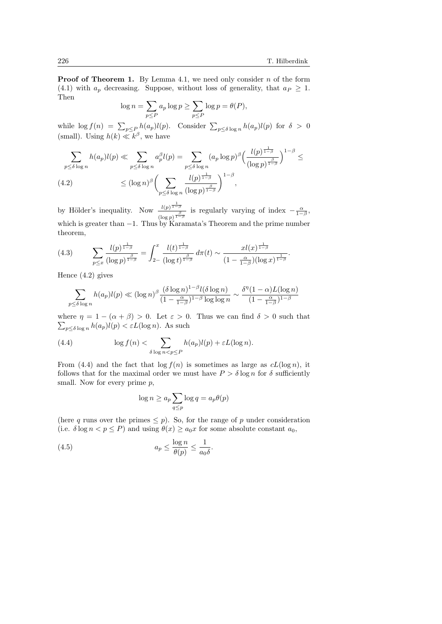**Proof of Theorem 1.** By Lemma 4.1, we need only consider  $n$  of the form (4.1) with  $a_p$  decreasing. Suppose, without loss of generality, that  $a_p \geq 1$ . Then

$$
\log n = \sum_{p \le P} a_p \log p \ge \sum_{p \le P} \log p = \theta(P),
$$

while  $\log f(n) = \sum_{p \leq P} h(a_p) l(p)$ . Consider  $\sum_{p \leq \delta \log n} h(a_p) l(p)$  for  $\delta > 0$ (small). Using  $h(k) \ll k^{\beta}$ , we have

$$
\sum_{p \leq \delta \log n} h(a_p) l(p) \ll \sum_{p \leq \delta \log n} a_p^{\beta} l(p) = \sum_{p \leq \delta \log n} (a_p \log p)^{\beta} \left( \frac{l(p)^{\frac{1}{1-\beta}}}{(\log p)^{\frac{\beta}{1-\beta}}} \right)^{1-\beta} \leq
$$
\n
$$
(4.2) \qquad \leq (\log n)^{\beta} \left( \sum_{p \leq \delta \log n} \frac{l(p)^{\frac{1}{1-\beta}}}{(\log p)^{\frac{\beta}{1-\beta}}} \right)^{1-\beta},
$$

by Hölder's inequality. Now  $\frac{l(p)^{\frac{1}{1-\beta}}}{\beta}$  $\frac{l(p)^{1-\beta}}{\left(\log p\right)^{\frac{\beta}{1-\beta}}}$  is regularly varying of index  $-\frac{\alpha}{1-\beta}$ , which is greater than  $-1$ . Thus by Karamata's Theorem and the prime number theorem,

(4.3) 
$$
\sum_{p \leq x} \frac{l(p)^{\frac{1}{1-\beta}}}{(\log p)^{\frac{\beta}{1-\beta}}} = \int_{2-}^{x} \frac{l(t)^{\frac{1}{1-\beta}}}{(\log t)^{\frac{\beta}{1-\beta}}} d\pi(t) \sim \frac{x l(x)^{\frac{1}{1-\beta}}}{(1-\frac{\alpha}{1-\beta})(\log x)^{\frac{1}{1-\beta}}}.
$$

Hence (4.2) gives

$$
\sum_{p \leq \delta \log n} h(a_p) l(p) \ll (\log n)^{\beta} \frac{(\delta \log n)^{1-\beta} l(\delta \log n)}{(1 - \frac{\alpha}{1-\beta})^{1-\beta} \log \log n} \sim \frac{\delta^n (1 - \alpha) L(\log n)}{(1 - \frac{\alpha}{1-\beta})^{1-\beta}}
$$

where  $\eta = 1 - (\alpha + \beta) > 0$ . Let  $\varepsilon > 0$ . Thus we can find  $\delta > 0$  such that  $\sum_{p \leq \delta \log n} h(a_p)l(p) < \varepsilon L(\log n)$ . As such

(4.4) 
$$
\log f(n) < \sum_{\delta \log n < p \le P} h(a_p)l(p) + \varepsilon L(\log n).
$$

From (4.4) and the fact that  $\log f(n)$  is sometimes as large as  $cL(\log n)$ , it follows that for the maximal order we must have  $P > \delta \log n$  for  $\delta$  sufficiently small. Now for every prime  $p$ ,

$$
\log n \ge a_p \sum_{q \le p} \log q = a_p \theta(p)
$$

(here q runs over the primes  $\leq p$ ). So, for the range of p under consideration (i.e.  $\delta \log n < p \leq P$ ) and using  $\theta(x) \geq a_0 x$  for some absolute constant  $a_0$ ,

(4.5) 
$$
a_p \leq \frac{\log n}{\theta(p)} \leq \frac{1}{a_0 \delta}.
$$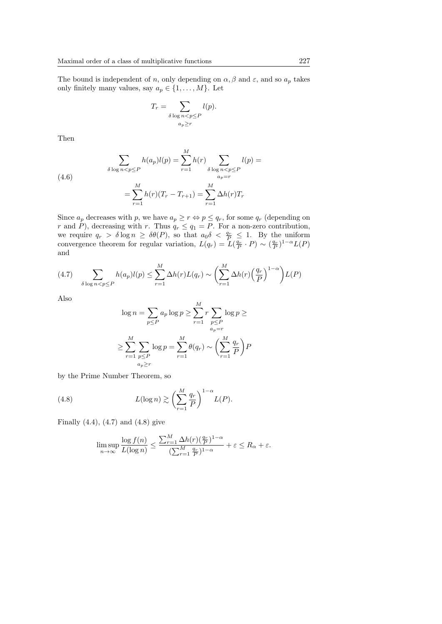The bound is independent of n, only depending on  $\alpha$ ,  $\beta$  and  $\varepsilon$ , and so  $a_p$  takes only finitely many values, say  $a_p \in \{1, \ldots, M\}$ . Let

$$
T_r = \sum_{\delta \log n < p \le P \atop a_p \ge r} l(p).
$$

Then

(4.6)  

$$
\sum_{\delta \log n < p \le P} h(a_p) l(p) = \sum_{r=1}^{M} h(r) \sum_{\delta \log n < p \le P} l(p) =
$$

$$
= \sum_{r=1}^{M} h(r) (T_r - T_{r+1}) = \sum_{r=1}^{M} \Delta h(r) T_r
$$

Since  $a_p$  decreases with p, we have  $a_p \geq r \Leftrightarrow p \leq q_r$ , for some  $q_r$  (depending on r and P), decreasing with r. Thus  $q_r \leq q_1 = P$ . For a non-zero contribution, we require  $q_r > \delta \log n \geq \delta \theta(P)$ , so that  $a_0 \delta < \frac{q_r}{P} \leq 1$ . By the uniform convergence theorem for regular variation,  $L(q_r) = L(\frac{q_r}{P} \cdot P) \sim (\frac{q_r}{P})^{1-\alpha} L(P)$ and

(4.7) 
$$
\sum_{\delta \log n < p \le P} h(a_p)l(p) \le \sum_{r=1}^{M} \Delta h(r)L(q_r) \sim \left(\sum_{r=1}^{M} \Delta h(r) \left(\frac{q_r}{P}\right)^{1-\alpha}\right) L(P)
$$

Also

$$
\log n = \sum_{p \le P} a_p \log p \ge \sum_{r=1}^M r \sum_{\substack{p \le P \\ a_p = r}} \log p \ge
$$

$$
\ge \sum_{r=1}^M \sum_{\substack{p \le P \\ a_p \ge r}} \log p = \sum_{r=1}^M \theta(q_r) \sim \left(\sum_{r=1}^M \frac{q_r}{P}\right) P
$$

by the Prime Number Theorem, so

(4.8) 
$$
L(\log n) \gtrsim \left(\sum_{r=1}^{M} \frac{q_r}{P}\right)^{1-\alpha} L(P).
$$

Finally  $(4.4)$ ,  $(4.7)$  and  $(4.8)$  give

$$
\limsup_{n \to \infty} \frac{\log f(n)}{L(\log n)} \le \frac{\sum_{r=1}^{M} \Delta h(r) (\frac{q_r}{P})^{1-\alpha}}{(\sum_{r=1}^{M} \frac{q_r}{P})^{1-\alpha}} + \varepsilon \le R_{\alpha} + \varepsilon.
$$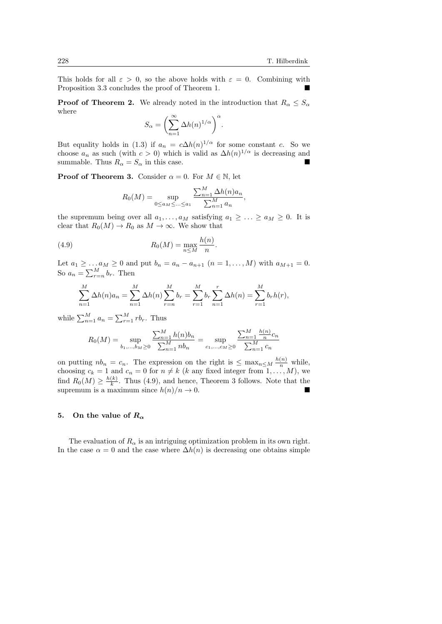This holds for all  $\varepsilon > 0$ , so the above holds with  $\varepsilon = 0$ . Combining with Proposition 3.3 concludes the proof of Theorem 1.

**Proof of Theorem 2.** We already noted in the introduction that  $R_{\alpha} \leq S_{\alpha}$ where

$$
S_{\alpha} = \left(\sum_{n=1}^{\infty} \Delta h(n)^{1/\alpha}\right)^{\alpha}.
$$

But equality holds in (1.3) if  $a_n = c \Delta h(n)^{1/\alpha}$  for some constant c. So we choose  $a_n$  as such (with  $c > 0$ ) which is valid as  $\Delta h(n)^{1/\alpha}$  is decreasing and summable. Thus  $R_{\alpha} = S_{\alpha}$  in this case.

**Proof of Theorem 3.** Consider  $\alpha = 0$ . For  $M \in \mathbb{N}$ , let

$$
R_0(M) = \sup_{0 \le a_M \le \dots \le a_1} \frac{\sum_{n=1}^M \Delta h(n) a_n}{\sum_{n=1}^M a_n},
$$

the supremum being over all  $a_1, \ldots, a_M$  satisfying  $a_1 \geq \ldots \geq a_M \geq 0$ . It is clear that  $R_0(M) \to R_0$  as  $M \to \infty$ . We show that

(4.9) 
$$
R_0(M) = \max_{n \leq M} \frac{h(n)}{n}.
$$

Let  $a_1 \geq ... a_M \geq 0$  and put  $b_n = a_n - a_{n+1}$   $(n = 1, ..., M)$  with  $a_{M+1} = 0$ . So  $a_n = \sum_{r=n}^{M} b_r$ . Then

$$
\sum_{n=1}^{M} \Delta h(n) a_n = \sum_{n=1}^{M} \Delta h(n) \sum_{r=n}^{M} b_r = \sum_{r=1}^{M} b_r \sum_{n=1}^{r} \Delta h(n) = \sum_{r=1}^{M} b_r h(r),
$$

while  $\sum_{n=1}^{M} a_n = \sum_{r=1}^{M} rb_r$ . Thus

$$
R_0(M) = \sup_{b_1,\dots,b_M \ge 0} \frac{\sum_{n=1}^M h(n)b_n}{\sum_{n=1}^M nb_n} = \sup_{c_1,\dots,c_M \ge 0} \frac{\sum_{n=1}^M \frac{h(n)}{n}c_n}{\sum_{n=1}^M c_n}
$$

on putting  $nb_n = c_n$ . The expression on the right is  $\leq \max_{n \leq M} \frac{h(n)}{n}$  while, choosing  $c_k = 1$  and  $c_n = 0$  for  $n \neq k$  (k any fixed integer from  $1, \ldots, M$ ), we find  $R_0(M) \geq \frac{h(k)}{k}$  $\frac{k}{k}$ . Thus (4.9), and hence, Theorem 3 follows. Note that the supremum is a maximum since  $h(n)/n \to 0$ .

#### 5. On the value of  $R_{\alpha}$

The evaluation of  $R_{\alpha}$  is an intriguing optimization problem in its own right. In the case  $\alpha = 0$  and the case where  $\Delta h(n)$  is decreasing one obtains simple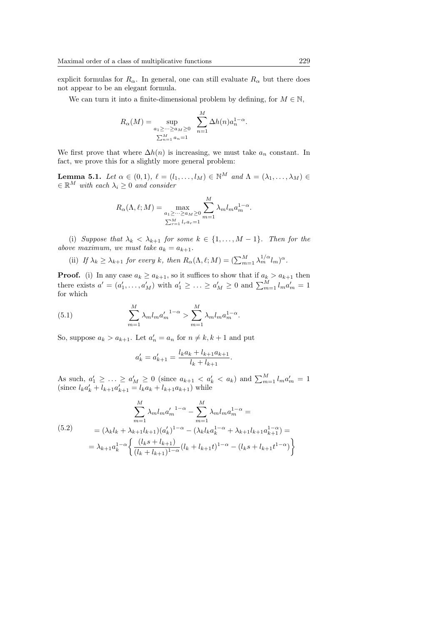explicit formulas for  $R_{\alpha}$ . In general, one can still evaluate  $R_{\alpha}$  but there does not appear to be an elegant formula.

We can turn it into a finite-dimensional problem by defining, for  $M \in \mathbb{N}$ ,

$$
R_{\alpha}(M) = \sup_{\substack{a_1 \ge \cdots \ge a_M \ge 0 \\ \sum_{n=1}^M a_n = 1}} \sum_{n=1}^M \Delta h(n) a_n^{1-\alpha}.
$$

We first prove that where  $\Delta h(n)$  is increasing, we must take  $a_n$  constant. In fact, we prove this for a slightly more general problem:

**Lemma 5.1.** Let  $\alpha \in (0, 1)$ ,  $\ell = (l_1, \ldots, l_M) \in \mathbb{N}^M$  and  $\Lambda = (\lambda_1, \ldots, \lambda_M) \in$  $\in \mathbb{R}^M$  with each  $\lambda_i \geq 0$  and consider

$$
R_{\alpha}(\Lambda, \ell; M) = \max_{\substack{a_1 \ge \dots \ge a_M \ge 0 \\ \sum_{r=1}^M l_r a_r = 1}} \sum_{m=1}^M \lambda_m l_m a_m^{1-\alpha}.
$$

(i) Suppose that  $\lambda_k < \lambda_{k+1}$  for some  $k \in \{1, ..., M-1\}$ . Then for the above maximum, we must take  $a_k = a_{k+1}$ .

(ii) If  $\lambda_k \geq \lambda_{k+1}$  for every k, then  $R_\alpha(\Lambda, \ell; M) = (\sum_{m=1}^M \lambda_m^{1/\alpha} l_m)^\alpha$ .

**Proof.** (i) In any case  $a_k \ge a_{k+1}$ , so it suffices to show that if  $a_k > a_{k+1}$  then there exists  $a' = (a'_1, \ldots, a'_M)$  with  $a'_1 \geq \ldots \geq a'_M \geq 0$  and  $\sum_{m=1}^M l_m a'_m = 1$ for which

(5.1) 
$$
\sum_{m=1}^{M} \lambda_m l_m a'_m^{1-\alpha} > \sum_{m=1}^{M} \lambda_m l_m a_m^{1-\alpha}.
$$

So, suppose  $a_k > a_{k+1}$ . Let  $a'_n = a_n$  for  $n \neq k, k+1$  and put

$$
a'_{k} = a'_{k+1} = \frac{l_{k}a_{k} + l_{k+1}a_{k+1}}{l_{k} + l_{k+1}}.
$$

As such,  $a'_1 \geq ... \geq a'_M \geq 0$  (since  $a_{k+1} < a'_k < a_k$ ) and  $\sum_{m=1}^M l_m a'_m = 1$ (since  $l_k a'_k + l_{k+1} a'_{k+1} = l_k a_k + l_{k+1} a_{k+1}$ ) while

$$
\sum_{m=1}^{M} \lambda_m l_m a_m'^{1-\alpha} - \sum_{m=1}^{M} \lambda_m l_m a_m^{1-\alpha} =
$$
\n
$$
(5.2)
$$
\n
$$
= (\lambda_k l_k + \lambda_{k+1} l_{k+1}) (a_k')^{1-\alpha} - (\lambda_k l_k a_k^{1-\alpha} + \lambda_{k+1} l_{k+1} a_{k+1}^{1-\alpha}) =
$$
\n
$$
= \lambda_{k+1} a_k^{1-\alpha} \left\{ \frac{(l_k s + l_{k+1})}{(l_k + l_{k+1})^{1-\alpha}} (l_k + l_{k+1} t)^{1-\alpha} - (l_k s + l_{k+1} t^{1-\alpha}) \right\}
$$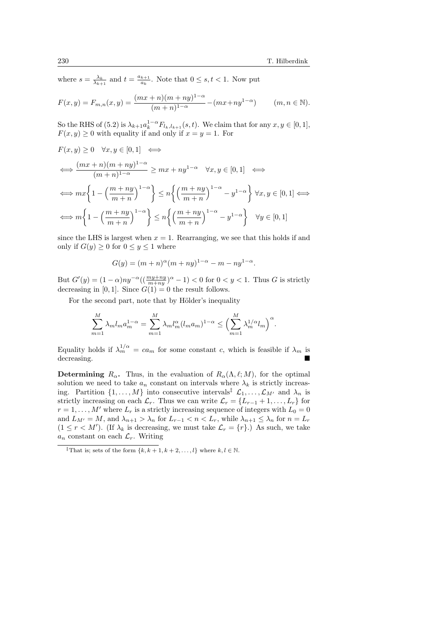where  $s = \frac{\lambda_k}{\lambda_{k+1}}$  and  $t = \frac{a_{k+1}}{a_k}$  $\frac{k+1}{a_k}$ . Note that  $0 \leq s, t < 1$ . Now put

$$
F(x,y) = F_{m,n}(x,y) = \frac{(mx+n)(m+ny)^{1-\alpha}}{(m+n)^{1-\alpha}} - (mx+ny^{1-\alpha}) \qquad (m,n \in \mathbb{N}).
$$

So the RHS of (5.2) is  $\lambda_{k+1} a_k^{1-\alpha} F_{l_k,l_{k+1}}(s,t)$ . We claim that for any  $x, y \in [0,1]$ ,  $F(x, y) \geq 0$  with equality if and only if  $x = y = 1$ . For

$$
F(x, y) \ge 0 \quad \forall x, y \in [0, 1] \iff
$$
  
\n
$$
\iff \frac{(mx+n)(m+ny)^{1-\alpha}}{(m+n)^{1-\alpha}} \ge mx+ny^{1-\alpha} \quad \forall x, y \in [0, 1] \iff
$$
  
\n
$$
\iff mx\left\{1-\left(\frac{m+ny}{m+n}\right)^{1-\alpha}\right\} \le n\left\{\left(\frac{m+ny}{m+n}\right)^{1-\alpha} - y^{1-\alpha}\right\} \forall x, y \in [0, 1] \iff
$$
  
\n
$$
\iff m\left\{1-\left(\frac{m+ny}{m+n}\right)^{1-\alpha}\right\} \le n\left\{\left(\frac{m+ny}{m+n}\right)^{1-\alpha} - y^{1-\alpha}\right\} \quad \forall y \in [0, 1]
$$

since the LHS is largest when  $x = 1$ . Rearranging, we see that this holds if and only if  $G(y) \geq 0$  for  $0 \leq y \leq 1$  where

$$
G(y) = (m+n)^{\alpha}(m+ny)^{1-\alpha} - m - ny^{1-\alpha}.
$$

But  $G'(y) = (1 - \alpha)ny^{-\alpha}((\frac{my + ny}{m + ny})^{\alpha} - 1) < 0$  for  $0 < y < 1$ . Thus G is strictly decreasing in [0, 1]. Since  $G(1) = 0$  the result follows.

For the second part, note that by Hölder's inequality

$$
\sum_{m=1}^{M} \lambda_m l_m a_m^{1-\alpha} = \sum_{m=1}^{M} \lambda_m l_m^{\alpha} (l_m a_m)^{1-\alpha} \leq \left(\sum_{m=1}^{M} \lambda_m^{1/\alpha} l_m\right)^{\alpha}.
$$

Equality holds if  $\lambda_m^{1/\alpha} = ca_m$  for some constant c, which is feasible if  $\lambda_m$  is decreasing.

**Determining**  $R_{\alpha}$ . Thus, in the evaluation of  $R_{\alpha}(\Lambda, \ell; M)$ , for the optimal solution we need to take  $a_n$  constant on intervals where  $\lambda_k$  is strictly increasing. Partition  $\{1, \ldots, M\}$  into consecutive intervals<sup>‡</sup>  $\mathcal{L}_1, \ldots, \mathcal{L}_{M'}$  and  $\lambda_n$  is strictly increasing on each  $\mathcal{L}_r$ . Thus we can write  $\mathcal{L}_r = \{L_{r-1} + 1, \ldots, L_r\}$  for  $r = 1, \ldots, M'$  where  $L_r$  is a strictly increasing sequence of integers with  $L_0 = 0$ and  $L_{M'} = M$ , and  $\lambda_{n+1} > \lambda_n$  for  $L_{r-1} < n < L_r$ , while  $\lambda_{n+1} \leq \lambda_n$  for  $n = L_r$  $(1 \leq r < M')$ . (If  $\lambda_k$  is decreasing, we must take  $\mathcal{L}_r = \{r\}$ .) As such, we take  $a_n$  constant on each  $\mathcal{L}_r$ . Writing

<sup>&</sup>lt;sup>‡</sup>That is; sets of the form  $\{k, k+1, k+2, \ldots, l\}$  where  $k, l \in \mathbb{N}$ .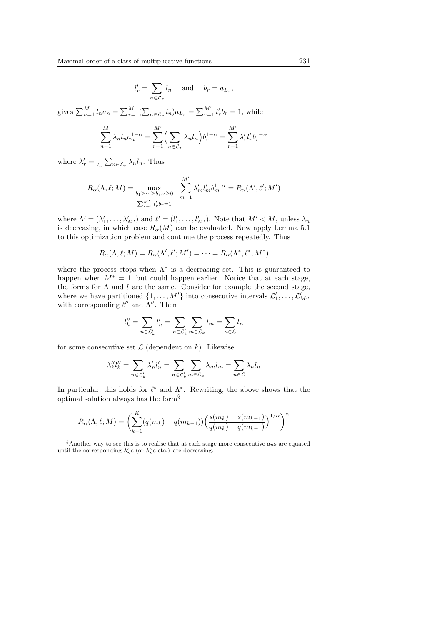$$
l'_r = \sum_{n \in \mathcal{L}_r} l_n \quad \text{and} \quad b_r = a_{L_r},
$$

gives  $\sum_{n=1}^{M} l_n a_n = \sum_{r=1}^{M'} (\sum_{n \in \mathcal{L}_r} l_n) a_{L_r} = \sum_{r=1}^{M'} l'_r b_r = 1$ , while

$$
\sum_{n=1}^{M} \lambda_n l_n a_n^{1-\alpha} = \sum_{r=1}^{M'} \left( \sum_{n \in \mathcal{L}_r} \lambda_n l_n \right) b_r^{1-\alpha} = \sum_{r=1}^{M'} \lambda'_r l'_r b_r^{1-\alpha}
$$

where  $\lambda'_r = \frac{1}{l'_r} \sum_{n \in \mathcal{L}_r} \lambda_n l_n$ . Thus

$$
R_{\alpha}(\Lambda, \ell; M) = \max_{\substack{b_1 \ge \dots \ge b_{M'} \ge 0 \\ \sum_{r=1}^{M'} l'_r b_r = 1}} \sum_{m=1}^{M'} \lambda'_m l'_m b_m^{1-\alpha} = R_{\alpha}(\Lambda', \ell'; M')
$$

where  $\Lambda' = (\lambda'_1, \ldots, \lambda'_{M'})$  and  $\ell' = (l'_1, \ldots, l'_{M'})$ . Note that  $M' < M$ , unless  $\lambda_n$ is decreasing, in which case  $R_{\alpha}(M)$  can be evaluated. Now apply Lemma 5.1 to this optimization problem and continue the process repeatedly. Thus

$$
R_{\alpha}(\Lambda, \ell; M) = R_{\alpha}(\Lambda', \ell'; M') = \cdots = R_{\alpha}(\Lambda^*, \ell^*; M^*)
$$

where the process stops when  $\Lambda^*$  is a decreasing set. This is guaranteed to happen when  $M^* = 1$ , but could happen earlier. Notice that at each stage, the forms for  $\Lambda$  and  $l$  are the same. Consider for example the second stage, where we have partitioned  $\{1, \ldots, M'\}$  into consecutive intervals  $\mathcal{L}'_1, \ldots, \mathcal{L}'_{M''}$ with corresponding  $\ell''$  and  $\Lambda''$ . Then

$$
l_k'' = \sum_{n \in \mathcal{L}_k'} l_n' = \sum_{n \in \mathcal{L}_k'} \sum_{m \in \mathcal{L}_k} l_m = \sum_{n \in \mathcal{L}} l_n
$$

for some consecutive set  $\mathcal L$  (dependent on k). Likewise

$$
\lambda''_k l''_k = \sum_{n \in \mathcal{L}'_k} \lambda'_n l'_n = \sum_{n \in \mathcal{L}'_k} \sum_{m \in \mathcal{L}_k} \lambda_m l_m = \sum_{n \in \mathcal{L}} \lambda_n l_n
$$

In particular, this holds for  $\ell^*$  and  $\Lambda^*$ . Rewriting, the above shows that the optimal solution always has the form§

$$
R_{\alpha}(\Lambda, \ell; M) = \left(\sum_{k=1}^{K} (q(m_k) - q(m_{k-1})) \left(\frac{s(m_k) - s(m_{k-1})}{q(m_k) - q(m_{k-1})}\right)^{1/\alpha}\right)^{\alpha}
$$

 $\delta$ Another way to see this is to realise that at each stage more consecutive  $a_n$ s are equated until the corresponding  $\lambda'_n$ s (or  $\lambda''_n$ s etc.) are decreasing.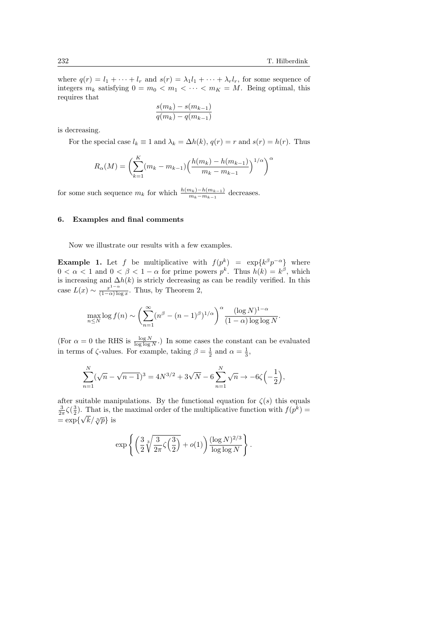where  $q(r) = l_1 + \cdots + l_r$  and  $s(r) = \lambda_1 l_1 + \cdots + \lambda_r l_r$ , for some sequence of integers  $m_k$  satisfying  $0 = m_0 < m_1 < \cdots < m_K = M$ . Being optimal, this requires that

$$
\frac{s(m_k) - s(m_{k-1})}{q(m_k) - q(m_{k-1})}
$$

is decreasing.

For the special case  $l_k \equiv 1$  and  $\lambda_k = \Delta h(k)$ ,  $q(r) = r$  and  $s(r) = h(r)$ . Thus

$$
R_{\alpha}(M) = \left(\sum_{k=1}^{K} (m_k - m_{k-1}) \left(\frac{h(m_k) - h(m_{k-1})}{m_k - m_{k-1}}\right)^{1/\alpha}\right)^{\alpha}
$$

for some such sequence  $m_k$  for which  $\frac{h(m_k)-h(m_{k-1})}{m_k-m_{k-1}}$  decreases.

#### 6. Examples and final comments

Now we illustrate our results with a few examples.

**Example 1.** Let f be multiplicative with  $f(p^k) = \exp\{k^{\beta} p^{-\alpha}\}\$  where  $0 < \alpha < 1$  and  $0 < \beta < 1 - \alpha$  for prime powers  $p^k$ . Thus  $h(k) = k^{\beta}$ , which is increasing and  $\Delta h(k)$  is stricly decreasing as can be readily verified. In this case  $L(x) \sim \frac{x^{1-\alpha}}{(1-\alpha)\log x}$  $\frac{x^2}{(1-\alpha)\log x}$ . Thus, by Theorem 2,

$$
\max_{n\leq N}\log f(n) \sim \left(\sum_{n=1}^{\infty} (n^{\beta} - (n-1)^{\beta})^{1/\alpha}\right)^{\alpha} \frac{(\log N)^{1-\alpha}}{(1-\alpha)\log\log N}.
$$

(For  $\alpha = 0$  the RHS is  $\frac{\log N}{\log \log N}$ .) In some cases the constant can be evaluated in terms of  $\zeta$ -values. For example, taking  $\beta = \frac{1}{2}$  and  $\alpha = \frac{1}{3}$ ,

$$
\sum_{n=1}^{N} (\sqrt{n} - \sqrt{n-1})^3 = 4N^{3/2} + 3\sqrt{N} - 6\sum_{n=1}^{N} \sqrt{n} \to -6\zeta \left(-\frac{1}{2}\right),
$$

after suitable manipulations. By the functional equation for  $\zeta(s)$  this equals  $\frac{3}{2\pi}\zeta(\frac{3}{2})$ . That is, the maximal order of the multiplicative function with  $f(p^k)$  =  $= \exp{\{\sqrt{k}/\sqrt[3]{p}\}}$  is

$$
\exp\left\{\left(\frac{3}{2}\sqrt[3]{\frac{3}{2\pi}\zeta\Big(\frac{3}{2}\Big)}+o(1)\right)\frac{(\log N)^{2/3}}{\log\log N}\right\}.
$$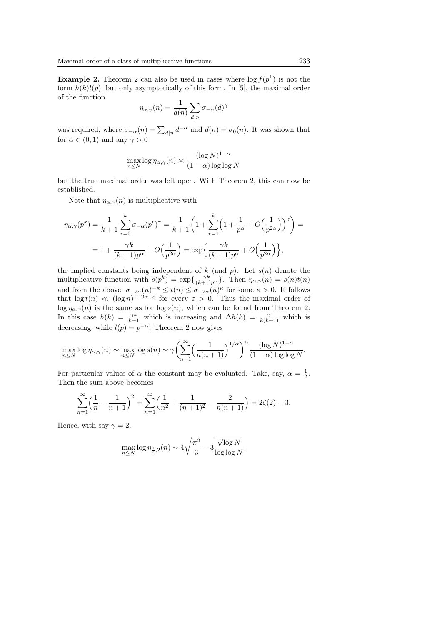**Example 2.** Theorem 2 can also be used in cases where  $\log f(p^k)$  is not the form  $h(k)l(p)$ , but only asymptotically of this form. In [5], the maximal order of the function

$$
\eta_{\alpha,\gamma}(n) = \frac{1}{d(n)} \sum_{d|n} \sigma_{-\alpha}(d)^{\gamma}
$$

was required, where  $\sigma_{-\alpha}(n) = \sum_{d|n} d^{-\alpha}$  and  $d(n) = \sigma_0(n)$ . It was shown that for  $\alpha \in (0,1)$  and any  $\gamma > 0$ 

$$
\max_{n \le N} \log \eta_{\alpha, \gamma}(n) \asymp \frac{(\log N)^{1-\alpha}}{(1-\alpha)\log \log N}
$$

but the true maximal order was left open. With Theorem 2, this can now be established.

Note that  $\eta_{\alpha,\gamma}(n)$  is multiplicative with

$$
\eta_{\alpha,\gamma}(p^k) = \frac{1}{k+1} \sum_{r=0}^k \sigma_{-\alpha}(p^r)^{\gamma} = \frac{1}{k+1} \left( 1 + \sum_{r=1}^k \left( 1 + \frac{1}{p^{\alpha}} + O\left(\frac{1}{p^{2\alpha}}\right) \right)^{\gamma} \right) =
$$
  
= 
$$
1 + \frac{\gamma k}{(k+1)p^{\alpha}} + O\left(\frac{1}{p^{2\alpha}}\right) = \exp\left\{ \frac{\gamma k}{(k+1)p^{\alpha}} + O\left(\frac{1}{p^{2\alpha}}\right) \right\},\
$$

the implied constants being independent of  $k$  (and  $p$ ). Let  $s(n)$  denote the multiplicative function with  $s(p^k) = \exp\{\frac{\gamma k}{(k+1)p^{\alpha}}\}\.$  Then  $\eta_{\alpha,\gamma}(n) = s(n)t(n)$ and from the above,  $\sigma_{-2\alpha}(n)^{-\kappa} \leq t(n) \leq \sigma_{-2\alpha}(n)^{\kappa}$  for some  $\kappa > 0$ . It follows that  $\log t(n) \ll (\log n)^{1-2\alpha+\varepsilon}$  for every  $\varepsilon > 0$ . Thus the maximal order of  $\log \eta_{\alpha,\gamma}(n)$  is the same as for  $\log s(n)$ , which can be found from Theorem 2. In this case  $h(k) = \frac{\gamma k}{k+1}$  which is increasing and  $\Delta h(k) = \frac{\gamma}{k(k+1)}$  which is decreasing, while  $l(p) = p^{-\alpha}$ . Theorem 2 now gives

$$
\max_{n\leq N}\log\eta_{\alpha,\gamma}(n) \sim \max_{n\leq N}\log s(n) \sim \gamma \bigg(\sum_{n=1}^{\infty}\Big(\frac{1}{n(n+1)}\Big)^{1/\alpha}\bigg)^{\alpha} \frac{(\log N)^{1-\alpha}}{(1-\alpha)\log\log N}.
$$

For particular values of  $\alpha$  the constant may be evaluated. Take, say,  $\alpha = \frac{1}{2}$ . Then the sum above becomes

$$
\sum_{n=1}^{\infty} \left( \frac{1}{n} - \frac{1}{n+1} \right)^2 = \sum_{n=1}^{\infty} \left( \frac{1}{n^2} + \frac{1}{(n+1)^2} - \frac{2}{n(n+1)} \right) = 2\zeta(2) - 3.
$$

Hence, with say  $\gamma = 2$ ,

$$
\max_{n \le N} \log \eta_{\frac{1}{2},2}(n) \sim 4\sqrt{\frac{\pi^2}{3} - 3\frac{\sqrt{\log N}}{\log \log N}}.
$$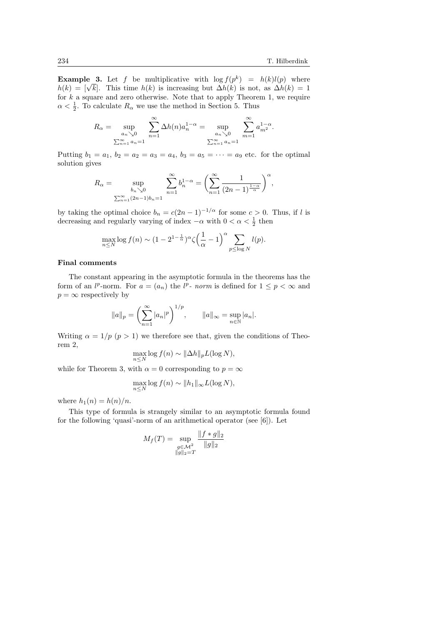**Example 3.** Let f be multiplicative with  $\log f(p^k) = h(k)l(p)$  where **Example 3.** Let *f* be multiplicative with  $\log f(p^{\alpha}) = h(k)l(p)$  where  $h(k) = [\sqrt{k}]$ . This time  $h(k)$  is increasing but  $\Delta h(k)$  is not, as  $\Delta h(k) = 1$ for  $k$  a square and zero otherwise. Note that to apply Theorem 1, we require  $\alpha < \frac{1}{2}$ . To calculate  $R_{\alpha}$  we use the method in Section 5. Thus

$$
R_{\alpha} = \sup_{\substack{a_n \searrow 0 \\ \sum_{n=1}^{\infty} a_n = 1}} \sum_{n=1}^{\infty} \Delta h(n) a_n^{1-\alpha} = \sup_{\substack{a_n \searrow 0 \\ \sum_{n=1}^{\infty} a_n = 1}} \sum_{m=1}^{\infty} a_{m^2}^{1-\alpha}.
$$

Putting  $b_1 = a_1, b_2 = a_2 = a_3 = a_4, b_3 = a_5 = \cdots = a_9$  etc. for the optimal solution gives

$$
R_{\alpha} = \sup_{\substack{b_n \searrow 0 \\ \sum_{n=1}^{\infty} (2n-1)b_n = 1}} \sum_{n=1}^{\infty} b_n^{1-\alpha} = \left( \sum_{n=1}^{\infty} \frac{1}{(2n-1)^{\frac{1-\alpha}{\alpha}}} \right)^{\alpha},
$$

by taking the optimal choice  $b_n = c(2n-1)^{-1/\alpha}$  for some  $c > 0$ . Thus, if l is decreasing and regularly varying of index  $-\alpha$  with  $0 < \alpha < \frac{1}{2}$  then

$$
\max_{n\leq N} \log f(n) \sim (1-2^{1-\frac{1}{\alpha}})^{\alpha} \zeta \left(\frac{1}{\alpha}-1\right)^{\alpha} \sum_{p\leq \log N} l(p).
$$

# Final comments

The constant appearing in the asymptotic formula in the theorems has the form of an  $l^p$ -norm. For  $a = (a_n)$  the  $l^p$ -norm is defined for  $1 \leq p < \infty$  and  $p = \infty$  respectively by

$$
||a||_p = \left(\sum_{n=1}^{\infty} |a_n|^p\right)^{1/p}, \qquad ||a||_{\infty} = \sup_{n \in \mathbb{N}} |a_n|.
$$

Writing  $\alpha = 1/p$  ( $p > 1$ ) we therefore see that, given the conditions of Theorem 2,

$$
\max_{n \le N} \log f(n) \sim \|\Delta h\|_p L(\log N),
$$

while for Theorem 3, with  $\alpha = 0$  corresponding to  $p = \infty$ 

$$
\max_{n \le N} \log f(n) \sim ||h_1||_{\infty} L(\log N),
$$

where  $h_1(n) = h(n)/n$ .

This type of formula is strangely similar to an asymptotic formula found for the following 'quasi'-norm of an arithmetical operator (see [6]). Let

$$
M_f(T) = \sup_{\substack{g \in \mathcal{M}^2 \\ \|g\|_2 = T}} \frac{\|f * g\|_2}{\|g\|_2}
$$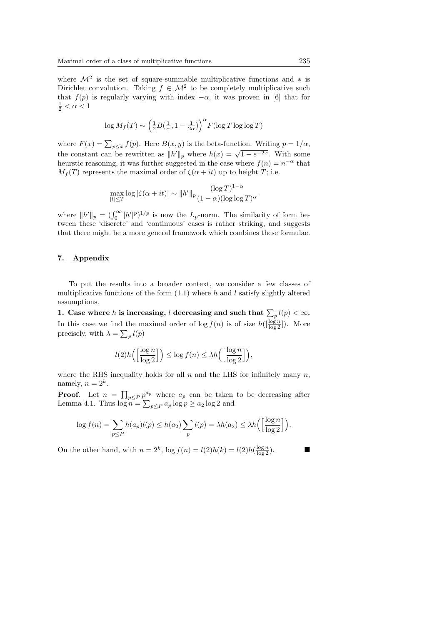where  $\mathcal{M}^2$  is the set of square-summable multiplicative functions and  $*$  is Dirichlet convolution. Taking  $f \in \mathcal{M}^2$  to be completely multiplicative such that  $f(p)$  is regularly varying with index  $-\alpha$ , it was proven in [6] that for  $\frac{1}{2} < \alpha < 1$ 

$$
\log M_f(T) \sim \left(\frac{1}{2}B(\frac{1}{\alpha}, 1 - \frac{1}{2\alpha})\right)^{\alpha} F(\log T \log \log T)
$$

where  $F(x) = \sum_{p \leq x} f(p)$ . Here  $B(x, y)$  is the beta-function. Writing  $p = 1/\alpha$ , where  $T(x) = \sum_{p \leq x} J(p)$ . Here  $D(x, y)$  is the betta function. Writing  $p = 1/d$ ,<br>the constant can be rewritten as  $||h'||_p$  where  $h(x) = \sqrt{1 - e^{-2x}}$ . With some heurstic reasoning, it was further suggested in the case where  $f(n) = n^{-\alpha}$  that  $M_f(T)$  represents the maximal order of  $\zeta(\alpha + it)$  up to height T; i.e.

$$
\max_{|t| \le T} \log |\zeta(\alpha + it)| \sim ||h'||_p \frac{(\log T)^{1-\alpha}}{(1-\alpha)(\log \log T)^{\alpha}}
$$

where  $||h'||_p = (\int_0^\infty |h'|^p)^{1/p}$  is now the  $L_p$ -norm. The similarity of form between these 'discrete' and 'continuous' cases is rather striking, and suggests that there might be a more general framework which combines these formulae.

## 7. Appendix

To put the results into a broader context, we consider a few classes of multiplicative functions of the form  $(1.1)$  where h and l satisfy slightly altered assumptions.

1. Case where h is increasing,  $l$  decreasing and such that  $\sum_{p} l(p) < \infty$ . In this case we find the maximal order of  $\log f(n)$  is of size  $h([\frac{\log n}{\log 2}])$ . More precisely, with  $\lambda = \sum_{p} l(p)$ 

$$
l(2)h\left(\left[\frac{\log n}{\log 2}\right]\right) \le \log f(n) \le \lambda h\left(\left[\frac{\log n}{\log 2}\right]\right),
$$

where the RHS inequality holds for all  $n$  and the LHS for infinitely many  $n$ , namely,  $n = 2^k$ .

**Proof.** Let  $n = \prod_{p \leq P} p^{a_p}$  where  $a_p$  can be taken to be decreasing after Lemma 4.1. Thus  $\log n = \sum_{p \leq P} a_p \log p \geq a_2 \log 2$  and

$$
\log f(n) = \sum_{p \le P} h(a_p)l(p) \le h(a_2) \sum_p l(p) = \lambda h(a_2) \le \lambda h\left(\left[\frac{\log n}{\log 2}\right]\right).
$$

On the other hand, with  $n = 2^k$ ,  $\log f(n) = l(2)h(k) = l(2)h(\frac{\log n}{\log 2})$ .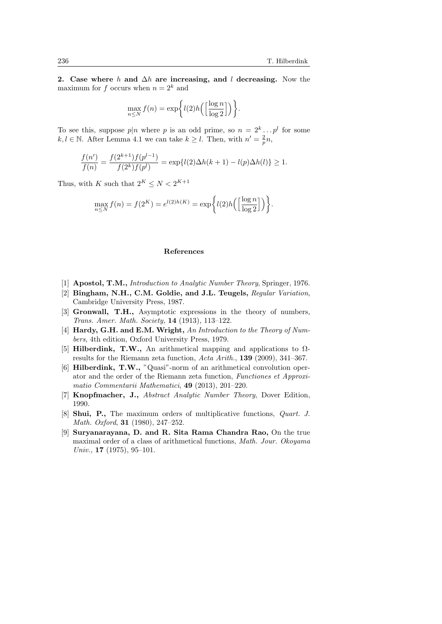2. Case where h and  $\Delta h$  are increasing, and l decreasing. Now the maximum for f occurs when  $n = 2<sup>k</sup>$  and

$$
\max_{n \leq N} f(n) = \exp\bigg\{l(2)h\bigg(\Big[\frac{\log n}{\log 2}\Big]\bigg)\bigg\}.
$$

To see this, suppose  $p|n$  where p is an odd prime, so  $n = 2^k \dots p^l$  for some  $k, l \in \mathbb{N}$ . After Lemma 4.1 we can take  $k \geq l$ . Then, with  $n' = \frac{2}{p}n$ ,

$$
\frac{f(n')}{f(n)} = \frac{f(2^{k+1})f(p^{l-1})}{f(2^k)f(p^l)} = \exp\{l(2)\Delta h(k+1) - l(p)\Delta h(l)\} \ge 1.
$$

Thus, with K such that  $2^K \leq N < 2^{K+1}$ 

$$
\max_{n \le N} f(n) = f(2^K) = e^{l(2)h(K)} = \exp\bigg\{l(2)h\bigg(\bigg[\frac{\log n}{\log 2}\bigg]\bigg)\bigg\}.
$$

#### References

- [1] **Apostol, T.M.,** *Introduction to Analytic Number Theory*, *Springer*, 1976.
- [2] Bingham, N.H., C.M. Goldie, and J.L. Teugels, Regular Variation, Cambridge University Press, 1987.
- [3] Gronwall, T.H., Asymptotic expressions in the theory of numbers, Trans. Amer. Math. Society, 14 (1913), 113–122.
- [4] **Hardy, G.H. and E.M. Wright,** An Introduction to the Theory of Numbers, 4th edition, Oxford University Press, 1979.
- [5] Hilberdink, T.W., An arithmetical mapping and applications to  $\Omega$ results for the Riemann zeta function, Acta Arith., 139 (2009), 341–367.
- [6] Hilberdink, T.W., "Quasi"-norm of an arithmetical convolution operator and the order of the Riemann zeta function, Functiones et Approximatio Commentarii Mathematici, 49 (2013), 201–220.
- [7] Knopfmacher, J., Abstract Analytic Number Theory, Dover Edition, 1990.
- [8] Shui, P., The maximum orders of multiplicative functions, Quart. J. Math. Oxford, 31 (1980), 247–252.
- [9] Suryanarayana, D. and R. Sita Rama Chandra Rao, On the true maximal order of a class of arithmetical functions, Math. Jour. Okoyama Univ., 17 (1975), 95–101.